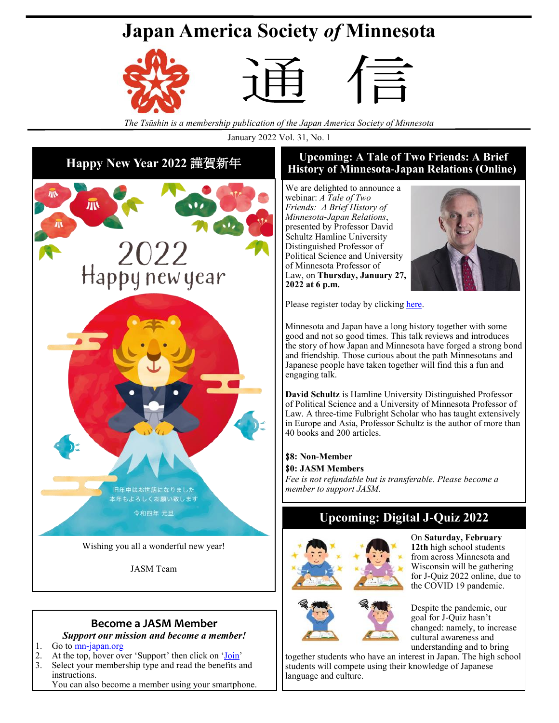# **Japan America Society** *of* **Minnesota**







*The Tsūshin is a membership publication of the Japan America Society of Minnesota*

January 2022 Vol. 31, No. 1

# **Happy New Year 2022** 謹賀新年



JASM Team

### **Become a JASM Member**

*Support our mission and become a member!*

- 1. Go to <mn-japan.org>
- 2. At the top, hover over 'Support' then click on '[Join'](https://japanamericasocietyofminnesota.wildapricot.org/Join-JASM)
- 3. Select your membership type and read the benefits and instructions.

You can also become a member using your smartphone.

### **Upcoming: A Tale of Two Friends: A Brief History of Minnesota-Japan Relations (Online)**

We are delighted to announce a webinar: *A Tale of Two Friends: A Brief History of Minnesota-Japan Relations*, presented by Professor David Schultz Hamline University Distinguished Professor of Political Science and University of Minnesota Professor of Law, on **Thursday, January 27, 2022 at 6 p.m.**



Please register today by clicking [here.](https://japanamericasocietyofminnesota.wildapricot.org/event-4617610)

Minnesota and Japan have a long history together with some good and not so good times. This talk reviews and introduces the story of how Japan and Minnesota have forged a strong bond and friendship. Those curious about the path Minnesotans and Japanese people have taken together will find this a fun and engaging talk.

**David Schultz** is Hamline University Distinguished Professor of Political Science and a University of Minnesota Professor of Law. A three-time Fulbright Scholar who has taught extensively in Europe and Asia, Professor Schultz is the author of more than 40 books and 200 articles.

\$**8: Non-Member** \$**0: JASM Members** *Fee is not refundable but is transferable. Please become a member to support JASM.*

### **Upcoming: Digital J-Quiz 2022**



On **Saturday, February 12th** high school students from across Minnesota and Wisconsin will be gathering for J-Quiz 2022 online, due to the COVID 19 pandemic.



Despite the pandemic, our goal for J-Quiz hasn't changed: namely, to increase cultural awareness and

understanding and to bring together students who have an interest in Japan. The high school students will compete using their knowledge of Japanese language and culture.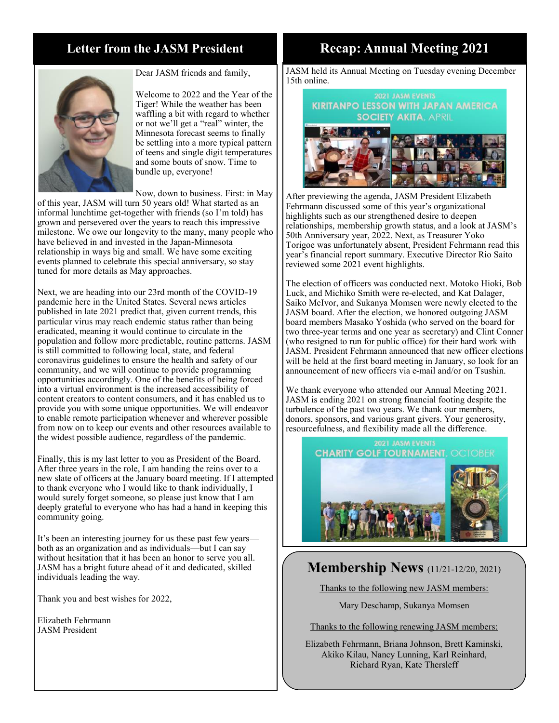### **Letter from the JASM President**



Dear JASM friends and family,

Welcome to 2022 and the Year of the Tiger! While the weather has been waffling a bit with regard to whether or not we'll get a "real" winter, the Minnesota forecast seems to finally be settling into a more typical pattern of teens and single digit temperatures and some bouts of snow. Time to bundle up, everyone!

Now, down to business. First: in May

of this year, JASM will turn 50 years old! What started as an informal lunchtime get-together with friends (so I'm told) has grown and persevered over the years to reach this impressive milestone. We owe our longevity to the many, many people who have believed in and invested in the Japan-Minnesota relationship in ways big and small. We have some exciting events planned to celebrate this special anniversary, so stay tuned for more details as May approaches.

Next, we are heading into our 23rd month of the COVID-19 pandemic here in the United States. Several news articles published in late 2021 predict that, given current trends, this particular virus may reach endemic status rather than being eradicated, meaning it would continue to circulate in the population and follow more predictable, routine patterns. JASM is still committed to following local, state, and federal coronavirus guidelines to ensure the health and safety of our community, and we will continue to provide programming opportunities accordingly. One of the benefits of being forced into a virtual environment is the increased accessibility of content creators to content consumers, and it has enabled us to provide you with some unique opportunities. We will endeavor to enable remote participation whenever and wherever possible from now on to keep our events and other resources available to the widest possible audience, regardless of the pandemic.

Finally, this is my last letter to you as President of the Board. After three years in the role, I am handing the reins over to a new slate of officers at the January board meeting. If I attempted to thank everyone who I would like to thank individually, I would surely forget someone, so please just know that I am deeply grateful to everyone who has had a hand in keeping this community going.

It's been an interesting journey for us these past few yearsboth as an organization and as individuals—but I can say without hesitation that it has been an honor to serve you all. JASM has a bright future ahead of it and dedicated, skilled individuals leading the way.

Thank you and best wishes for 2022,

Elizabeth Fehrmann JASM President

### **Recap: Annual Meeting 2021**

JASM held its Annual Meeting on Tuesday evening December 15th online.

### **KIRITANPO LESSON WITH JAPAN AMERICA SOCIETY AKITA, APRIL**



After previewing the agenda, JASM President Elizabeth Fehrmann discussed some of this year's organizational highlights such as our strengthened desire to deepen relationships, membership growth status, and a look at JASM's 50th Anniversary year, 2022. Next, as Treasurer Yoko Torigoe was unfortunately absent, President Fehrmann read this year's financial report summary. Executive Director Rio Saito reviewed some 2021 event highlights.

The election of officers was conducted next. Motoko Hioki, Bob Luck, and Michiko Smith were re-elected, and Kat Dalager, Saiko McIvor, and Sukanya Momsen were newly elected to the JASM board. After the election, we honored outgoing JASM board members Masako Yoshida (who served on the board for two three-year terms and one year as secretary) and Clint Conner (who resigned to run for public office) for their hard work with JASM. President Fehrmann announced that new officer elections will be held at the first board meeting in January, so look for an announcement of new officers via e-mail and/or on Tsushin.

We thank everyone who attended our Annual Meeting 2021. JASM is ending 2021 on strong financial footing despite the turbulence of the past two years. We thank our members, donors, sponsors, and various grant givers. Your generosity, resourcefulness, and flexibility made all the difference.



### **Membership News** (11/21-12/20, 2021)

Thanks to the following new JASM members:

Mary Deschamp, Sukanya Momsen

Thanks to the following renewing JASM members:

Elizabeth Fehrmann, Briana Johnson, Brett Kaminski, Akiko Kilau, Nancy Lunning, Karl Reinhard, Richard Ryan, Kate Thersleff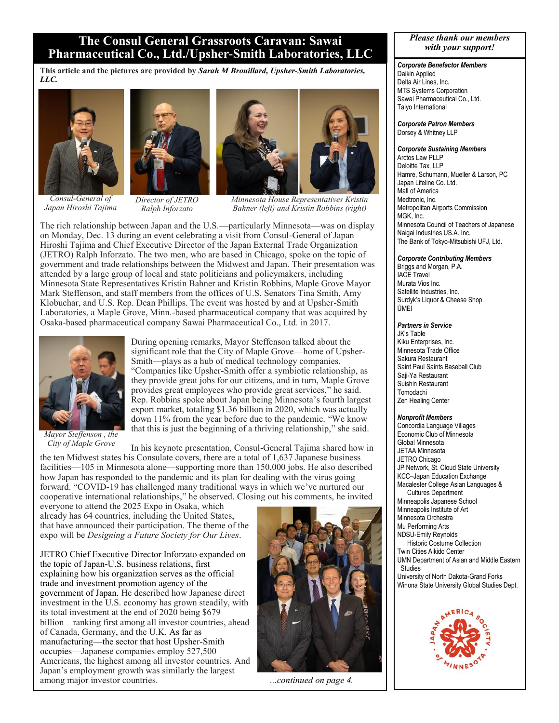### **The Consul General Grassroots Caravan: Sawai Pharmaceutical Co., Ltd./Upsher-Smith Laboratories, LLC**

**This article and the pictures are provided by** *Sarah M Brouillard, Upsher-Smith Laboratories, LLC.*



*Consul-General of Japan Hiroshi Tajima* 



*Director of JETRO Ralph Inforzato*



*Minnesota House Representatives Kristin Bahner (left) and Kristin Robbins (right)*

The rich relationship between Japan and the U.S.—particularly Minnesota—was on display on Monday, Dec. 13 during an event celebrating a visit from Consul-General of Japan Hiroshi Tajima and Chief Executive Director of the Japan External Trade Organization (JETRO) Ralph Inforzato. The two men, who are based in Chicago, spoke on the topic of government and trade relationships between the Midwest and Japan. Their presentation was attended by a large group of local and state politicians and policymakers, including Minnesota State Representatives Kristin Bahner and Kristin Robbins, Maple Grove Mayor Mark Steffenson, and staff members from the offices of U.S. Senators Tina Smith, Amy Klobuchar, and U.S. Rep. Dean Phillips. The event was hosted by and at Upsher-Smith Laboratories, a Maple Grove, Minn.-based pharmaceutical company that was acquired by Osaka-based pharmaceutical company Sawai Pharmaceutical Co., Ltd. in 2017.



*Mayor Steffenson , the City of Maple Grove*

During opening remarks, Mayor Steffenson talked about the significant role that the City of Maple Grove—home of Upsher-Smith—plays as a hub of medical technology companies. "Companies like Upsher-Smith offer a symbiotic relationship, as they provide great jobs for our citizens, and in turn, Maple Grove provides great employees who provide great services," he said. Rep. Robbins spoke about Japan being Minnesota's fourth largest export market, totaling \$1.36 billion in 2020, which was actually down 11% from the year before due to the pandemic. "We know that this is just the beginning of a thriving relationship," she said.

In his keynote presentation, Consul-General Tajima shared how in the ten Midwest states his Consulate covers, there are a total of 1,637 Japanese business facilities—105 in Minnesota alone—supporting more than 150,000 jobs. He also described how Japan has responded to the pandemic and its plan for dealing with the virus going forward. "COVID-19 has challenged many traditional ways in which we've nurtured our cooperative international relationships," he observed. Closing out his comments, he invited

everyone to attend the 2025 Expo in Osaka, which already has 64 countries, including the United States, that have announced their participation. The theme of the expo will be *Designing a Future Society for Our Lives*.

JETRO Chief Executive Director Inforzato expanded on the topic of Japan-U.S. business relations, first explaining how his organization serves as the official trade and investment promotion agency of the government of Japan. He described how Japanese direct investment in the U.S. economy has grown steadily, with its total investment at the end of 2020 being \$679 billion—ranking first among all investor countries, ahead of Canada, Germany, and the U.K. As far as manufacturing—the sector that host Upsher-Smith occupies—Japanese companies employ 527,500 Americans, the highest among all investor countries. And Japan's employment growth was similarly the largest among major investor countries. *...continued on page 4.*



#### *Please thank our members with your support!*

#### *Corporate Benefactor Members*

Daikin Applied Delta Air Lines, Inc. MTS Systems Corporation Sawai Pharmaceutical Co., Ltd. Taiyo International

*Corporate Patron Members*  Dorsey & Whitney LLP

#### *Corporate Sustaining Members*

Arctos Law PLLP Deloitte Tax, LLP Hamre, Schumann, Mueller & Larson, PC Japan Lifeline Co. Ltd. Mall of America Medtronic, Inc. Metropolitan Airports Commission MGK, Inc. Minnesota Council of Teachers of Japanese Naigai Industries US.A. Inc. The Bank of Tokyo-Mitsubishi UFJ, Ltd.

#### *Corporate Contributing Members*

Briggs and Morgan, P.A. IACE Travel Murata Vios Inc. Satellite Industries, Inc. Surdyk's Liquor & Cheese Shop ŪMEI

#### *Partners in Service*

JK's Table Kiku Enterprises, Inc. Minnesota Trade Office Sakura Restaurant Saint Paul Saints Baseball Club Saji-Ya Restaurant Suishin Restaurant Tomodachi Zen Healing Center

#### *Nonprofit Members*

Concordia Language Villages Economic Club of Minnesota Global Minnesota JETAA Minnesota JETRO Chicago JP Network, St. Cloud State University KCC–Japan Education Exchange Macalester College Asian Languages & Cultures Department Minneapolis Japanese School Minneapolis Institute of Art Minnesota Orchestra Mu Performing Arts NDSU-Emily Reynolds Historic Costume Collection Twin Cities Aikido Center UMN Department of Asian and Middle Eastern Studies University of North Dakota-Grand Forks Winona State University Global Studies Dept.

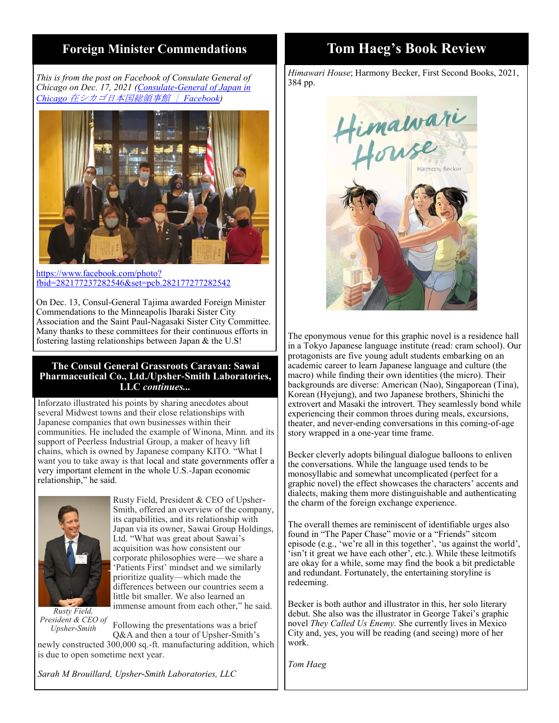### **Foreign Minister Commendations**

*This is from the post on Facebook of Consulate General of Chicago on Dec. 17, 2021 ([Consulate-General of Japan in](https://www.facebook.com/jic.chicago)  Chicago* [在シカゴ日本国総領事館 |](https://www.facebook.com/jic.chicago) *Facebook)* 



[https://www.facebook.com/photo?](https://www.facebook.com/photo?fbid=282177237282546&set=pcb.282177277282542) [fbid=282177237282546&set=pcb.282177277282542](https://www.facebook.com/photo?fbid=282177237282546&set=pcb.282177277282542)

On Dec. 13, Consul-General Tajima awarded Foreign Minister Commendations to the Minneapolis Ibaraki Sister City Association and the Saint Paul-Nagasaki Sister City Committee. Many thanks to these committees for their continuous efforts in fostering lasting relationships between Japan & the U.S!

#### **The Consul General Grassroots Caravan: Sawai Pharmaceutical Co., Ltd./Upsher-Smith Laboratories, LLC** *continues...*

Inforzato illustrated his points by sharing anecdotes about several Midwest towns and their close relationships with Japanese companies that own businesses within their communities. He included the example of Winona, Minn. and its support of Peerless Industrial Group, a maker of heavy lift chains, which is owned by Japanese company KITO. "What I want you to take away is that local and state governments offer a very important element in the whole U.S.-Japan economic relationship," he said.



Rusty Field, President & CEO of Upsher-Smith, offered an overview of the company, its capabilities, and its relationship with Japan via its owner, Sawai Group Holdings, Ltd. "What was great about Sawai's acquisition was how consistent our corporate philosophies were—we share a 'Patients First' mindset and we similarly prioritize quality—which made the differences between our countries seem a little bit smaller. We also learned an immense amount from each other," he said.

*Rusty Field, President & CEO of Upsher-Smith*

Following the presentations was a brief Q&A and then a tour of Upsher-Smith's

newly constructed 300,000 sq.-ft. manufacturing addition, which is due to open sometime next year.

### **Tom Haeg's Book Review**

*Himawari House*; Harmony Becker, First Second Books, 2021, 384 pp.



The eponymous venue for this graphic novel is a residence hall in a Tokyo Japanese language institute (read: cram school). Our protagonists are five young adult students embarking on an academic career to learn Japanese language and culture (the macro) while finding their own identities (the micro). Their backgrounds are diverse: American (Nao), Singaporean (Tina), Korean (Hyejung), and two Japanese brothers, Shinichi the extrovert and Masaki the introvert. They seamlessly bond while experiencing their common throes during meals, excursions, theater, and never-ending conversations in this coming-of-age story wrapped in a one-year time frame.

Becker cleverly adopts bilingual dialogue balloons to enliven the conversations. While the language used tends to be monosyllabic and somewhat uncomplicated (perfect for a graphic novel) the effect showcases the characters' accents and dialects, making them more distinguishable and authenticating the charm of the foreign exchange experience.

The overall themes are reminiscent of identifiable urges also found in "The Paper Chase" movie or a "Friends" sitcom episode (e.g., 'we're all in this together', 'us against the world', 'isn't it great we have each other', etc.). While these leitmotifs are okay for a while, some may find the book a bit predictable and redundant. Fortunately, the entertaining storyline is redeeming.

Becker is both author and illustrator in this, her solo literary debut. She also was the illustrator in George Takei's graphic novel *They Called Us Enemy.* She currently lives in Mexico City and, yes, you will be reading (and seeing) more of her work.

*Tom Haeg*

*Sarah M Brouillard, Upsher-Smith Laboratories, LLC*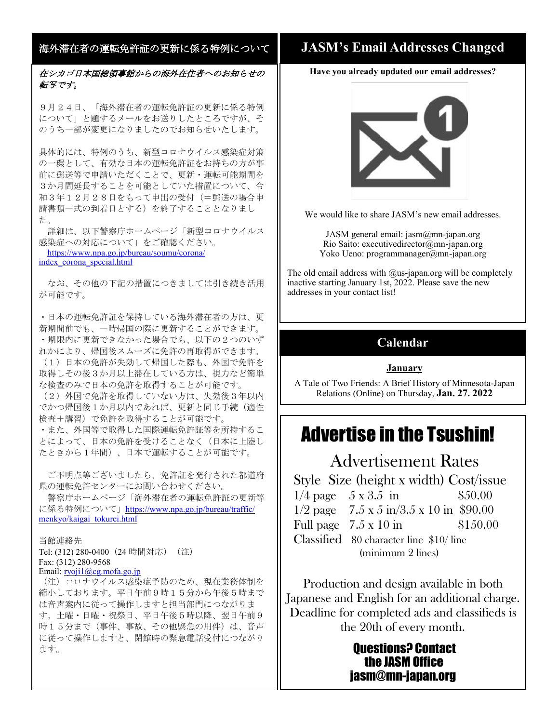### 海外滞在者の運転免許証の更新に係る特例について

### 在シカゴ日本国総領事館からの海外在住者へのお知らせの 転写です。

9月24日、「海外滞在者の運転免許証の更新に係る特例 について」と題するメールをお送りしたところですが、そ のうち一部が変更になりましたのでお知らせいたします。

具体的には、特例のうち、新型コロナウイルス感染症対策 の一環として、有効な日本の運転免許証をお持ちの方が事 前に郵送等で申請いただくことで、更新・運転可能期間を 3か月間延長することを可能としていた措置について、令 和3年12月28日をもって申出の受付(=郵送の場合申 請書類一式の到着日とする)を終了することとなりまし た。

詳細は、以下警察庁ホームページ「新型コロナウイルス 感染症への対応について」をご確認ください。 [https://www.npa.go.jp/bureau/soumu/corona/](https://www.npa.go.jp/bureau/soumu/corona/index_corona_special.html) [index\\_corona\\_special.html](https://www.npa.go.jp/bureau/soumu/corona/index_corona_special.html)

なお、その他の下記の措置につきましては引き続き活用 が可能です。

・日本の運転免許証を保持している海外滞在者の方は、更 新期間前でも、一時帰国の際に更新することができます。 ・期限内に更新できなかった場合でも、以下の2つのいず れかにより、帰国後スムーズに免許の再取得ができます。 (1)日本の免許が失効して帰国した際も、外国で免許を 取得しその後3か月以上滞在している方は、視力など簡単 な検査のみで日本の免許を取得することが可能です。

(2)外国で免許を取得していない方は、失効後3年以内 でかつ帰国後1か月以内であれば、更新と同じ手続(適性 検査+講習)で免許を取得することが可能です。

・また、外国等で取得した国際運転免許証等を所持するこ とによって、日本の免許を受けることなく(日本に上陸し たときから1年間)、日本で運転することが可能です。

ご不明点等ございましたら、免許証を発行された都道府 県の運転免許センターにお問い合わせください。

警察庁ホームページ「海外滞在者の運転免許証の更新等 に係る特例について」[https://www.npa.go.jp/bureau/traffic/](https://www.npa.go.jp/bureau/traffic/menkyo/kaigai_tokurei.html) [menkyo/kaigai\\_tokurei.html](https://www.npa.go.jp/bureau/traffic/menkyo/kaigai_tokurei.html)

当館連絡先

Tel: (312) 280-0400 (24 時間対応) (注) Fax: (312) 280-9568

Email: [ryoji1@cg.mofa.go.jp](mailto:ryoji1@cg.mofa.go.jp)

(注)コロナウイルス感染症予防のため、現在業務体制を 縮小しております。平日午前9時15分から午後5時まで は音声案内に従って操作しますと担当部門につながりま す。土曜・日曜・祝祭日、平日午後5時以降、翌日午前9 時15分まで(事件、事故、その他緊急の用件)は、音声 に従って操作しますと、閉館時の緊急電話受付につながり ます。

### **JASM's Email Addresses Changed**

**Have you already updated our email addresses?** 



We would like to share JASM's new email addresses.

JASM general email:  $i$ asm $@$ mn- $i$ apan.org Rio Saito: executivedirector@mn-japan.org Yoko Ueno: programmanager@mn-japan.org

The old email address with  $@$ us-japan.org will be completely inactive starting January 1st, 2022. Please save the new addresses in your contact list!

### **Calendar**

### **January**

A Tale of Two Friends: A Brief History of Minnesota-Japan Relations (Online) on Thursday, **Jan. 27. 2022**

## Advertise in the Tsushin!

## Advertisement Rates

Style Size (height x width) Cost/issue  $1/4$  page  $5 \times 3.5$  in  $$50.00$  $1/2$  page 7.5 x 5 in/3.5 x 10 in \$90.00 Full page  $7.5 \times 10 \text{ in}$  \$150.00 Classified 80 character line \$10/ line (minimum 2 lines)

Production and design available in both Japanese and English for an additional charge. Deadline for completed ads and classifieds is the 20th of every month.

### Questions? Contact the JASM Office jasm@mn-japan.org